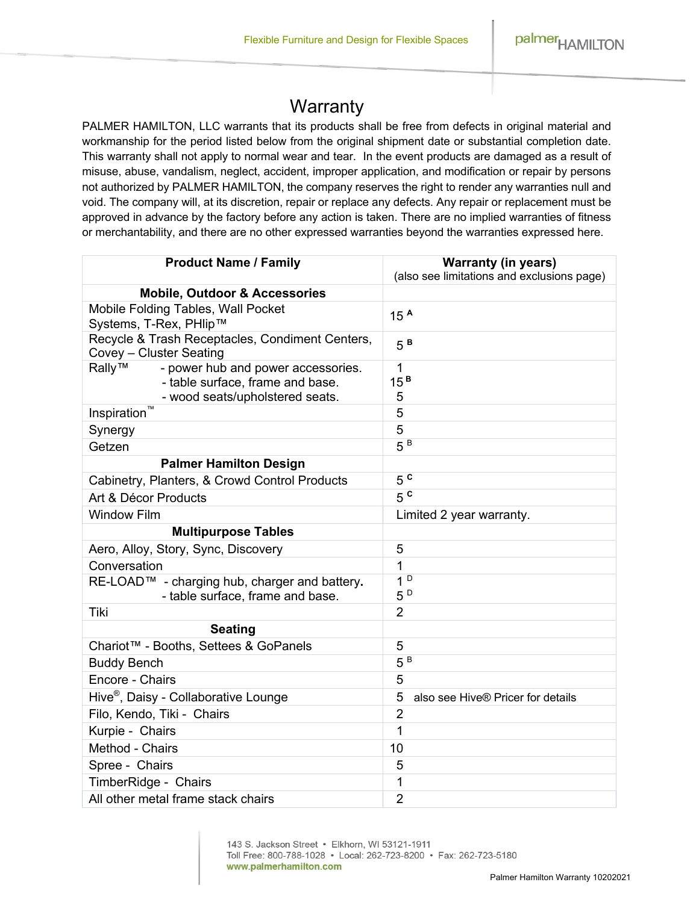# **Warranty**

PALMER HAMILTON, LLC warrants that its products shall be free from defects in original material and workmanship for the period listed below from the original shipment date or substantial completion date. This warranty shall not apply to normal wear and tear. In the event products are damaged as a result of misuse, abuse, vandalism, neglect, accident, improper application, and modification or repair by persons not authorized by PALMER HAMILTON, the company reserves the right to render any warranties null and void. The company will, at its discretion, repair or replace any defects. Any repair or replacement must be approved in advance by the factory before any action is taken. There are no implied warranties of fitness or merchantability, and there are no other expressed warranties beyond the warranties expressed here.

| <b>Product Name / Family</b>                                                                                        | <b>Warranty (in years)</b><br>(also see limitations and exclusions page) |
|---------------------------------------------------------------------------------------------------------------------|--------------------------------------------------------------------------|
| <b>Mobile, Outdoor &amp; Accessories</b>                                                                            |                                                                          |
| Mobile Folding Tables, Wall Pocket<br>Systems, T-Rex, PHlip™                                                        | 15 <sup>A</sup>                                                          |
| Recycle & Trash Receptacles, Condiment Centers,<br>Covey - Cluster Seating                                          | $5^B$                                                                    |
| Rally™<br>- power hub and power accessories.<br>- table surface, frame and base.<br>- wood seats/upholstered seats. | 1<br>15 <sup>B</sup><br>5                                                |
| Inspiration™                                                                                                        | 5                                                                        |
| Synergy                                                                                                             | 5                                                                        |
| Getzen                                                                                                              | $5^B$                                                                    |
| <b>Palmer Hamilton Design</b>                                                                                       |                                                                          |
| Cabinetry, Planters, & Crowd Control Products                                                                       | 5 <sup>c</sup>                                                           |
| Art & Décor Products                                                                                                | 5 <sup>c</sup>                                                           |
| <b>Window Film</b>                                                                                                  | Limited 2 year warranty.                                                 |
| <b>Multipurpose Tables</b>                                                                                          |                                                                          |
| Aero, Alloy, Story, Sync, Discovery                                                                                 | 5                                                                        |
| Conversation                                                                                                        | $\mathbf{1}$                                                             |
| RE-LOAD™ - charging hub, charger and battery.<br>- table surface, frame and base.                                   | 1 <sup>D</sup><br>$5^{\,\rm D}$                                          |
| Tiki                                                                                                                | $\overline{2}$                                                           |
| <b>Seating</b>                                                                                                      |                                                                          |
| Chariot <sup>™</sup> - Booths, Settees & GoPanels                                                                   | 5                                                                        |
| <b>Buddy Bench</b>                                                                                                  | $5^B$                                                                    |
| Encore - Chairs                                                                                                     | 5                                                                        |
| Hive <sup>®</sup> , Daisy - Collaborative Lounge                                                                    | 5<br>also see Hive® Pricer for details                                   |
| Filo, Kendo, Tiki - Chairs                                                                                          | $\overline{2}$                                                           |
| Kurpie - Chairs                                                                                                     | 1                                                                        |
| Method - Chairs                                                                                                     | 10                                                                       |
| Spree - Chairs                                                                                                      | 5                                                                        |
| TimberRidge - Chairs                                                                                                | 1                                                                        |
| All other metal frame stack chairs                                                                                  | $\overline{2}$                                                           |

143 S. Jackson Street · Elkhorn, WI 53121-1911 Toll Free: 800-788-1028 • Local: 262-723-8200 • Fax: 262-723-5180 www.palmerhamilton.com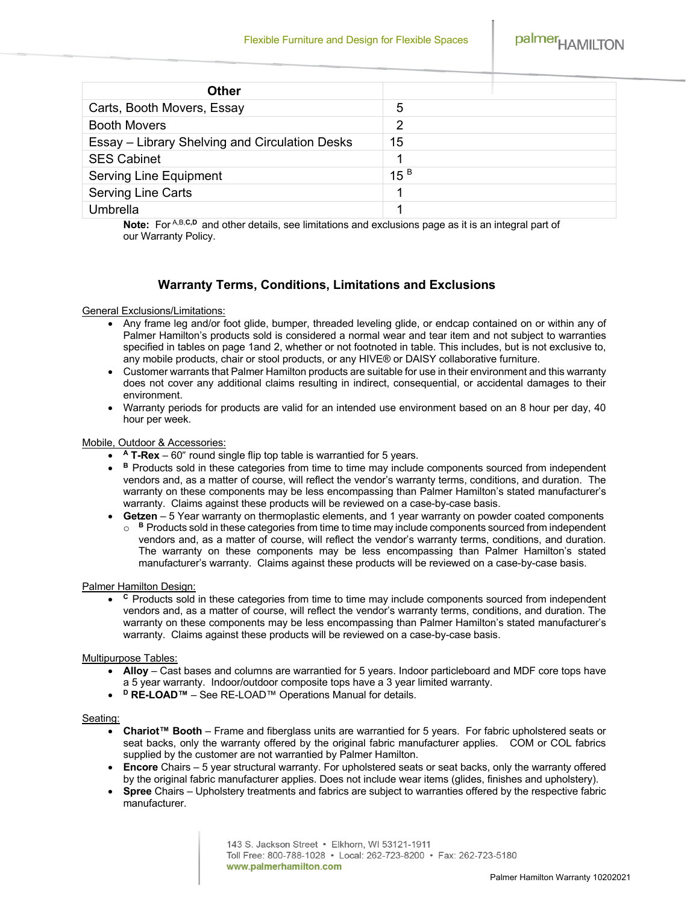palmer<sub>HAMILTON</sub>

| <b>Other</b>                                   |                 |
|------------------------------------------------|-----------------|
| Carts, Booth Movers, Essay                     | 5               |
| <b>Booth Movers</b>                            | 2               |
| Essay – Library Shelving and Circulation Desks | 15              |
| <b>SES Cabinet</b>                             |                 |
| <b>Serving Line Equipment</b>                  | 15 <sup>B</sup> |
| Serving Line Carts                             |                 |
| Umbrella                                       |                 |

Note: For A,B,C,D and other details, see limitations and exclusions page as it is an integral part of our Warranty Policy.

# **Warranty Terms, Conditions, Limitations and Exclusions**

# General Exclusions/Limitations:

- Any frame leg and/or foot glide, bumper, threaded leveling glide, or endcap contained on or within any of Palmer Hamilton's products sold is considered a normal wear and tear item and not subject to warranties specified in tables on page 1and 2, whether or not footnoted in table. This includes, but is not exclusive to, any mobile products, chair or stool products, or any HIVE® or DAISY collaborative furniture.
- Customer warrants that Palmer Hamilton products are suitable for use in their environment and this warranty does not cover any additional claims resulting in indirect, consequential, or accidental damages to their environment.
- Warranty periods for products are valid for an intended use environment based on an 8 hour per day, 40 hour per week.

#### Mobile, Outdoor & Accessories:

- **<sup>A</sup> T-Rex** 60" round single flip top table is warrantied for 5 years.
- **• B** Products sold in these categories from time to time may include components sourced from independent vendors and, as a matter of course, will reflect the vendor's warranty terms, conditions, and duration. The warranty on these components may be less encompassing than Palmer Hamilton's stated manufacturer's warranty. Claims against these products will be reviewed on a case-by-case basis.
- **Getzen** 5 Year warranty on thermoplastic elements, and 1 year warranty on powder coated components  $\circ$  **B** Products sold in these categories from time to time may include components sourced from independent vendors and, as a matter of course, will reflect the vendor's warranty terms, conditions, and duration. The warranty on these components may be less encompassing than Palmer Hamilton's stated manufacturer's warranty. Claims against these products will be reviewed on a case-by-case basis.

# Palmer Hamilton Design:

• C Products sold in these categories from time to time may include components sourced from independent vendors and, as a matter of course, will reflect the vendor's warranty terms, conditions, and duration. The warranty on these components may be less encompassing than Palmer Hamilton's stated manufacturer's warranty. Claims against these products will be reviewed on a case-by-case basis.

# Multipurpose Tables:

- **Alloy** Cast bases and columns are warrantied for 5 years. Indoor particleboard and MDF core tops have a 5 year warranty. Indoor/outdoor composite tops have a 3 year limited warranty.
- **<sup>D</sup> RE-LOAD™** See RE-LOAD™ Operations Manual for details.

#### Seating:

- **Chariot™ Booth** Frame and fiberglass units are warrantied for 5 years. For fabric upholstered seats or seat backs, only the warranty offered by the original fabric manufacturer applies. COM or COL fabrics supplied by the customer are not warrantied by Palmer Hamilton.
- **Encore** Chairs 5 year structural warranty. For upholstered seats or seat backs, only the warranty offered by the original fabric manufacturer applies. Does not include wear items (glides, finishes and upholstery).
- **Spree** Chairs Upholstery treatments and fabrics are subject to warranties offered by the respective fabric manufacturer.

143 S. Jackson Street · Elkhorn, WI 53121-1911 Toll Free: 800-788-1028 · Local: 262-723-8200 · Fax: 262-723-5180 www.palmerhamilton.com